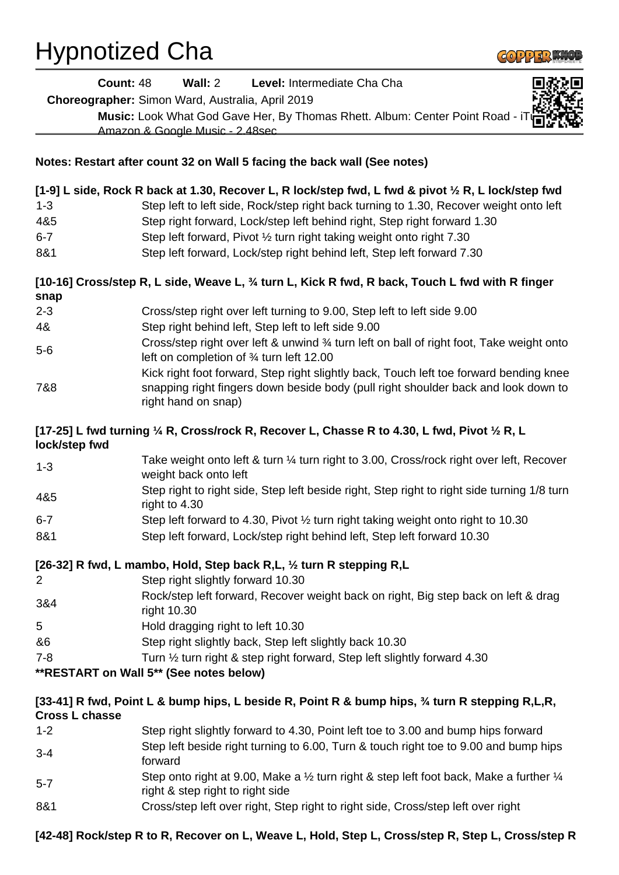## Hypnotized Cha

|                       | Wall: 2<br><b>Count: 48</b><br>Level: Intermediate Cha Cha                                                                                                                                    |  |
|-----------------------|-----------------------------------------------------------------------------------------------------------------------------------------------------------------------------------------------|--|
|                       | Choreographer: Simon Ward, Australia, April 2019                                                                                                                                              |  |
|                       | Music: Look What God Gave Her, By Thomas Rhett. Album: Center Point Road - iT                                                                                                                 |  |
|                       | Amazon & Google Music - 2.48sec                                                                                                                                                               |  |
|                       | Notes: Restart after count 32 on Wall 5 facing the back wall (See notes)                                                                                                                      |  |
|                       |                                                                                                                                                                                               |  |
| $1 - 3$               | [1-9] L side, Rock R back at 1.30, Recover L, R lock/step fwd, L fwd & pivot 1/2 R, L lock/step fwd<br>Step left to left side, Rock/step right back turning to 1.30, Recover weight onto left |  |
| 4&5                   | Step right forward, Lock/step left behind right, Step right forward 1.30                                                                                                                      |  |
| $6 - 7$               | Step left forward, Pivot 1/2 turn right taking weight onto right 7.30                                                                                                                         |  |
| 8&1                   | Step left forward, Lock/step right behind left, Step left forward 7.30                                                                                                                        |  |
|                       |                                                                                                                                                                                               |  |
| snap                  | [10-16] Cross/step R, L side, Weave L, 3/4 turn L, Kick R fwd, R back, Touch L fwd with R finger                                                                                              |  |
| $2 - 3$               | Cross/step right over left turning to 9.00, Step left to left side 9.00                                                                                                                       |  |
| 4&                    | Step right behind left, Step left to left side 9.00                                                                                                                                           |  |
| $5-6$                 | Cross/step right over left & unwind 3⁄4 turn left on ball of right foot, Take weight onto<br>left on completion of 3⁄4 turn left 12.00                                                        |  |
|                       | Kick right foot forward, Step right slightly back, Touch left toe forward bending knee                                                                                                        |  |
| 7&8                   | snapping right fingers down beside body (pull right shoulder back and look down to<br>right hand on snap)                                                                                     |  |
| lock/step fwd         | [17-25] L fwd turning 1/4 R, Cross/rock R, Recover L, Chasse R to 4.30, L fwd, Pivot 1/2 R, L                                                                                                 |  |
| $1 - 3$               | Take weight onto left & turn 1/4 turn right to 3.00, Cross/rock right over left, Recover<br>weight back onto left                                                                             |  |
| 4&5                   | Step right to right side, Step left beside right, Step right to right side turning 1/8 turn<br>right to 4.30                                                                                  |  |
| $6 - 7$               | Step left forward to 4.30, Pivot 1/2 turn right taking weight onto right to 10.30                                                                                                             |  |
| 8&1                   | Step left forward, Lock/step right behind left, Step left forward 10.30                                                                                                                       |  |
|                       | [26-32] R fwd, L mambo, Hold, Step back R,L, 1/2 turn R stepping R,L                                                                                                                          |  |
| 2                     | Step right slightly forward 10.30                                                                                                                                                             |  |
| 3&4                   | Rock/step left forward, Recover weight back on right, Big step back on left & drag<br>right 10.30                                                                                             |  |
| 5                     | Hold dragging right to left 10.30                                                                                                                                                             |  |
| &6                    | Step right slightly back, Step left slightly back 10.30                                                                                                                                       |  |
| $7 - 8$               | Turn 1/2 turn right & step right forward, Step left slightly forward 4.30                                                                                                                     |  |
|                       | **RESTART on Wall 5** (See notes below)                                                                                                                                                       |  |
| <b>Cross L chasse</b> | [33-41] R fwd, Point L & bump hips, L beside R, Point R & bump hips, 3/4 turn R stepping R,L,R,                                                                                               |  |
| $1 - 2$               | Step right slightly forward to 4.30, Point left toe to 3.00 and bump hips forward                                                                                                             |  |
| $3 - 4$               | Step left beside right turning to 6.00, Turn & touch right toe to 9.00 and bump hips<br>forward                                                                                               |  |
| $5 - 7$               | Step onto right at 9.00, Make a $\frac{1}{2}$ turn right & step left foot back, Make a further $\frac{1}{4}$<br>right & step right to right side                                              |  |
| 8&1                   | Cross/step left over right, Step right to right side, Cross/step left over right                                                                                                              |  |